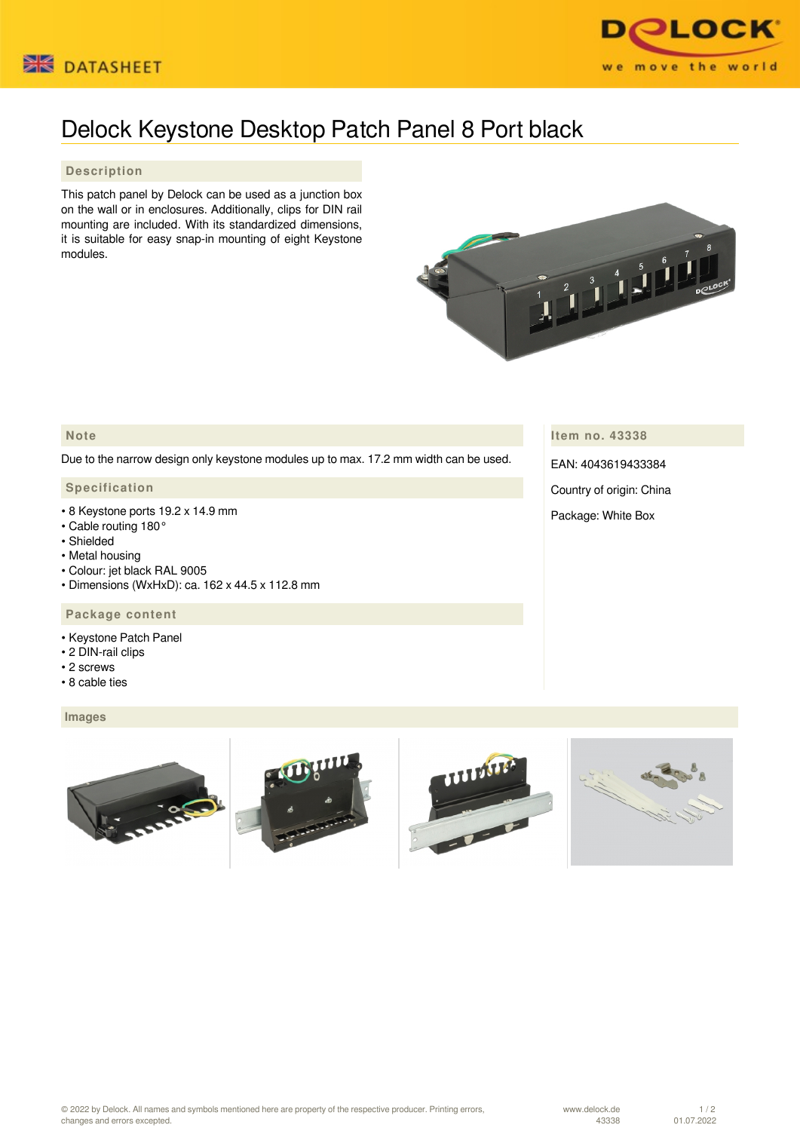



# Delock Keystone Desktop Patch Panel 8 Port black

## **Description**

This patch panel by Delock can be used as a junction box on the wall or in enclosures. Additionally, clips for DIN rail mounting are included. With its standardized dimensions, it is suitable for easy snap-in mounting of eight Keystone modules.



# **Note**

Due to the narrow design only keystone modules up to max. 17.2 mm width can be used.

## **Specification**

- 8 Keystone ports 19.2 x 14.9 mm
- Cable routing 180°
- Shielded
- Metal housing
- Colour: jet black RAL 9005
- Dimensions (WxHxD): ca. 162 x 44.5 x 112.8 mm

### **Package content**

- Keystone Patch Panel
- 2 DIN-rail clips
- 2 screws
- 8 cable ties

#### **Images**



**Item no. 43338**

EAN: 4043619433384

Country of origin: China

Package: White Box